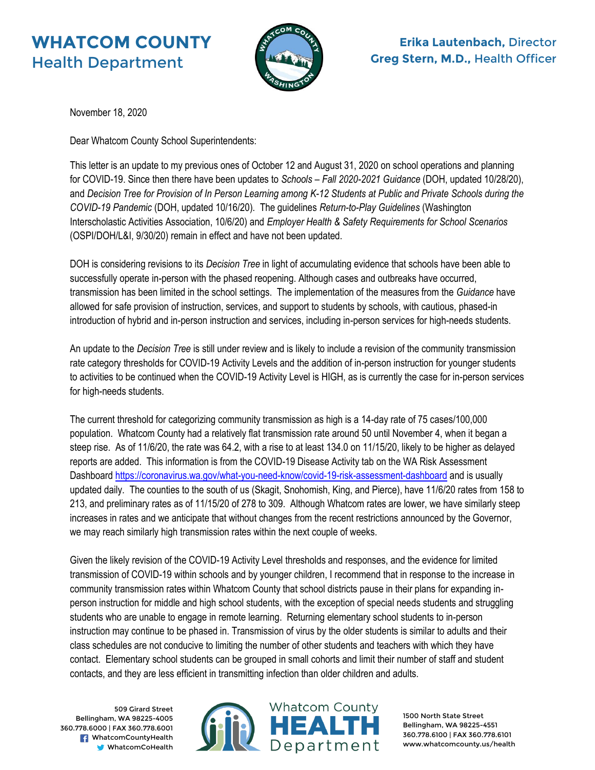# **WHATCOM COUNTY** Health Department



# **Erika Lautenbach,** Director **Greg Stern, M.D.,** Health Officer

November 18, 2020

Dear Whatcom County School Superintendents:

This letter is an update to my previous ones of October 12 and August 31, 2020 on school operations and planning for COVID-19. Since then there have been updates to *Schools – Fall 2020-2021 Guidance* (DOH, updated 10/28/20), and *Decision Tree for Provision of In Person Learning among K-12 Students at Public and Private Schools during the COVID-19 Pandemic* (DOH, updated 10/16/20). The guidelines *Return-to-Play Guidelines* (Washington Interscholastic Activities Association, 10/6/20) and *Employer Health & Safety Requirements for School Scenarios* (OSPI/DOH/L&I, 9/30/20) remain in effect and have not been updated.

DOH is considering revisions to its *Decision Tree* in light of accumulating evidence that schools have been able to successfully operate in-person with the phased reopening. Although cases and outbreaks have occurred, transmission has been limited in the school settings. The implementation of the measures from the *Guidance* have allowed for safe provision of instruction, services, and support to students by schools, with cautious, phased-in introduction of hybrid and in-person instruction and services, including in-person services for high-needs students.

An update to the *Decision Tree* is still under review and is likely to include a revision of the community transmission rate category thresholds for COVID-19 Activity Levels and the addition of in-person instruction for younger students to activities to be continued when the COVID-19 Activity Level is HIGH, as is currently the case for in-person services for high-needs students.

The current threshold for categorizing community transmission as high is a 14-day rate of 75 cases/100,000 population. Whatcom County had a relatively flat transmission rate around 50 until November 4, when it began a steep rise. As of 11/6/20, the rate was 64.2, with a rise to at least 134.0 on 11/15/20, likely to be higher as delayed reports are added. This information is from the COVID-19 Disease Activity tab on the WA Risk Assessment Dashboar[d https://coronavirus.wa.gov/what-you-need-know/covid-19-risk-assessment-dashboard](https://coronavirus.wa.gov/what-you-need-know/covid-19-risk-assessment-dashboard) and is usually updated daily. The counties to the south of us (Skagit, Snohomish, King, and Pierce), have 11/6/20 rates from 158 to 213, and preliminary rates as of 11/15/20 of 278 to 309. Although Whatcom rates are lower, we have similarly steep increases in rates and we anticipate that without changes from the recent restrictions announced by the Governor, we may reach similarly high transmission rates within the next couple of weeks.

Given the likely revision of the COVID-19 Activity Level thresholds and responses, and the evidence for limited transmission of COVID-19 within schools and by younger children, I recommend that in response to the increase in community transmission rates within Whatcom County that school districts pause in their plans for expanding inperson instruction for middle and high school students, with the exception of special needs students and struggling students who are unable to engage in remote learning. Returning elementary school students to in-person instruction may continue to be phased in. Transmission of virus by the older students is similar to adults and their class schedules are not conducive to limiting the number of other students and teachers with which they have contact. Elementary school students can be grouped in small cohorts and limit their number of staff and student contacts, and they are less efficient in transmitting infection than older children and adults.

509 Girard Street Bellingham, WA 98225-4005 360.778.6000 | FAX 360.778.6001 **F** WhatcomCountyHealth WhatcomCoHealth



1500 North State Street Bellingham, WA 98225-4551 360.778.6100 | FAX 360.778.6101 www.whatcomcounty.us/health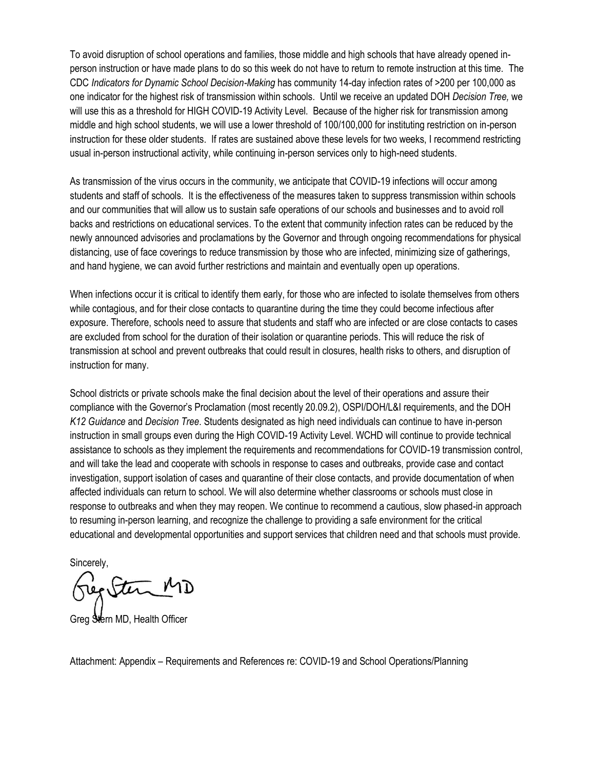To avoid disruption of school operations and families, those middle and high schools that have already opened inperson instruction or have made plans to do so this week do not have to return to remote instruction at this time. The CDC *Indicators for Dynamic School Decision-Making* has community 14-day infection rates of >200 per 100,000 as one indicator for the highest risk of transmission within schools. Until we receive an updated DOH *Decision Tree,* we will use this as a threshold for HIGH COVID-19 Activity Level. Because of the higher risk for transmission among middle and high school students, we will use a lower threshold of 100/100,000 for instituting restriction on in-person instruction for these older students. If rates are sustained above these levels for two weeks, I recommend restricting usual in-person instructional activity, while continuing in-person services only to high-need students.

As transmission of the virus occurs in the community, we anticipate that COVID-19 infections will occur among students and staff of schools. It is the effectiveness of the measures taken to suppress transmission within schools and our communities that will allow us to sustain safe operations of our schools and businesses and to avoid roll backs and restrictions on educational services. To the extent that community infection rates can be reduced by the newly announced advisories and proclamations by the Governor and through ongoing recommendations for physical distancing, use of face coverings to reduce transmission by those who are infected, minimizing size of gatherings, and hand hygiene, we can avoid further restrictions and maintain and eventually open up operations.

When infections occur it is critical to identify them early, for those who are infected to isolate themselves from others while contagious, and for their close contacts to quarantine during the time they could become infectious after exposure. Therefore, schools need to assure that students and staff who are infected or are close contacts to cases are excluded from school for the duration of their isolation or quarantine periods. This will reduce the risk of transmission at school and prevent outbreaks that could result in closures, health risks to others, and disruption of instruction for many.

School districts or private schools make the final decision about the level of their operations and assure their compliance with the Governor's Proclamation (most recently 20.09.2), OSPI/DOH/L&I requirements, and the DOH *K12 Guidance* and *Decision Tree*. Students designated as high need individuals can continue to have in-person instruction in small groups even during the High COVID-19 Activity Level. WCHD will continue to provide technical assistance to schools as they implement the requirements and recommendations for COVID-19 transmission control, and will take the lead and cooperate with schools in response to cases and outbreaks, provide case and contact investigation, support isolation of cases and quarantine of their close contacts, and provide documentation of when affected individuals can return to school. We will also determine whether classrooms or schools must close in response to outbreaks and when they may reopen. We continue to recommend a cautious, slow phased-in approach to resuming in-person learning, and recognize the challenge to providing a safe environment for the critical educational and developmental opportunities and support services that children need and that schools must provide.

Sincerely,

Stern MD

Greg Stern MD, Health Officer

Attachment: Appendix – Requirements and References re: COVID-19 and School Operations/Planning